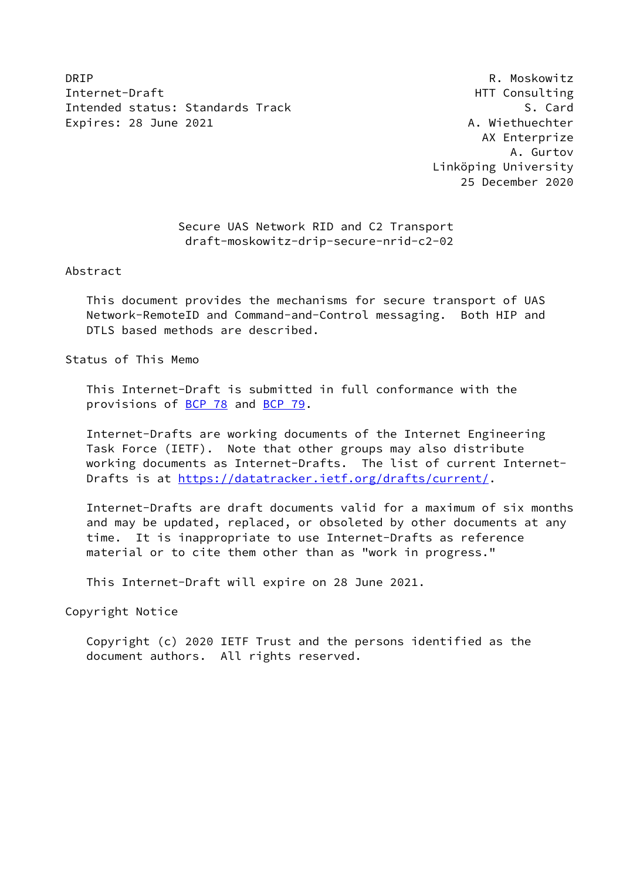DRIP R. Moskowitz Internet-Draft **HTT** Consulting Intended status: Standards Track S. Card Expires: 28 June 2021 **A. Wiethuechter** 

 AX Enterprize A. Gurtov Linköping University 25 December 2020

# Secure UAS Network RID and C2 Transport draft-moskowitz-drip-secure-nrid-c2-02

Abstract

 This document provides the mechanisms for secure transport of UAS Network-RemoteID and Command-and-Control messaging. Both HIP and DTLS based methods are described.

Status of This Memo

 This Internet-Draft is submitted in full conformance with the provisions of [BCP 78](https://datatracker.ietf.org/doc/pdf/bcp78) and [BCP 79](https://datatracker.ietf.org/doc/pdf/bcp79).

 Internet-Drafts are working documents of the Internet Engineering Task Force (IETF). Note that other groups may also distribute working documents as Internet-Drafts. The list of current Internet- Drafts is at<https://datatracker.ietf.org/drafts/current/>.

 Internet-Drafts are draft documents valid for a maximum of six months and may be updated, replaced, or obsoleted by other documents at any time. It is inappropriate to use Internet-Drafts as reference material or to cite them other than as "work in progress."

This Internet-Draft will expire on 28 June 2021.

Copyright Notice

 Copyright (c) 2020 IETF Trust and the persons identified as the document authors. All rights reserved.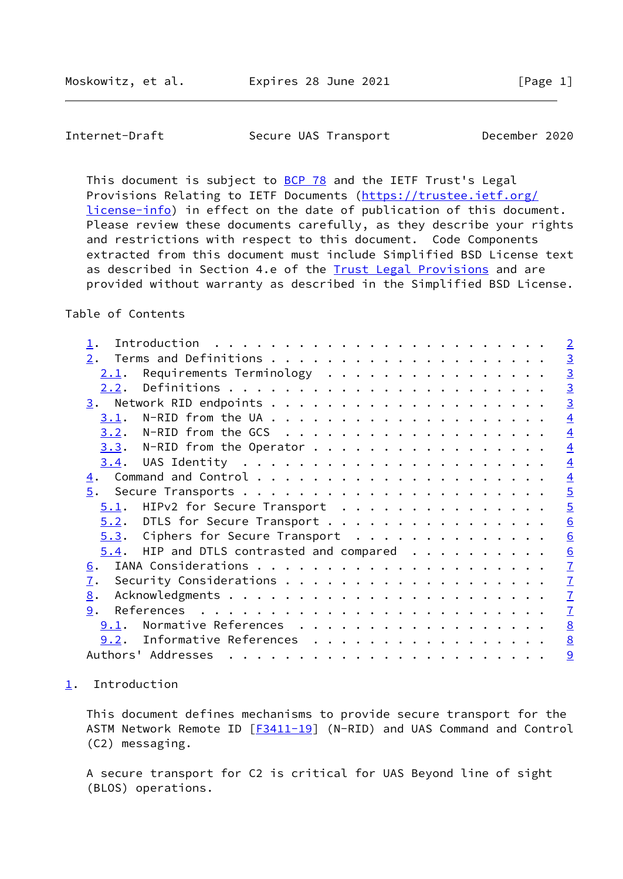<span id="page-1-1"></span>Internet-Draft Secure UAS Transport December 2020

This document is subject to [BCP 78](https://datatracker.ietf.org/doc/pdf/bcp78) and the IETF Trust's Legal Provisions Relating to IETF Documents ([https://trustee.ietf.org/](https://trustee.ietf.org/license-info) [license-info](https://trustee.ietf.org/license-info)) in effect on the date of publication of this document. Please review these documents carefully, as they describe your rights and restrictions with respect to this document. Code Components extracted from this document must include Simplified BSD License text as described in Section 4.e of the [Trust Legal Provisions](https://trustee.ietf.org/license-info) and are provided without warranty as described in the Simplified BSD License.

# Table of Contents

|                                                                                                | $\overline{2}$  |
|------------------------------------------------------------------------------------------------|-----------------|
| 2.                                                                                             |                 |
| Requirements Terminology<br><u>2.1</u> .                                                       | $\frac{3}{3}$   |
| 2.2.                                                                                           | $\overline{3}$  |
| 3.                                                                                             | $\overline{3}$  |
| 3.1.                                                                                           | $\overline{4}$  |
| 3.2.                                                                                           | $\overline{4}$  |
| N-RID from the Operator $\cdots$ $\cdots$ $\cdots$ $\cdots$ $\cdots$ $\cdots$ $\cdots$<br>3.3. | $\overline{4}$  |
| <u>3.4.</u>                                                                                    | $\overline{4}$  |
| 4.                                                                                             | $\overline{4}$  |
| $\overline{5}$ .                                                                               | $\overline{5}$  |
| HIPv2 for Secure Transport<br>5.1.                                                             | $\overline{5}$  |
| 5.2. DTLS for Secure Transport                                                                 | $\underline{6}$ |
| $5.3.$ Ciphers for Secure Transport                                                            | $\underline{6}$ |
| $5.4$ . HIP and DTLS contrasted and compared                                                   | $\underline{6}$ |
| <u>6</u> .                                                                                     | $\overline{1}$  |
| $\overline{1}$ .                                                                               | $\mathbf{Z}$    |
| $\underline{8}$ .                                                                              | $\mathbf{I}$    |
| 9.                                                                                             | $\overline{1}$  |
| Normative References<br>9.1.                                                                   | $\underline{8}$ |
| Informative References<br>9.2.                                                                 | 8               |
| Authors' Addresses                                                                             | 9               |

<span id="page-1-0"></span>[1](#page-1-0). Introduction

 This document defines mechanisms to provide secure transport for the ASTM Network Remote ID [\[F3411-19](#page-8-1)] (N-RID) and UAS Command and Control (C2) messaging.

 A secure transport for C2 is critical for UAS Beyond line of sight (BLOS) operations.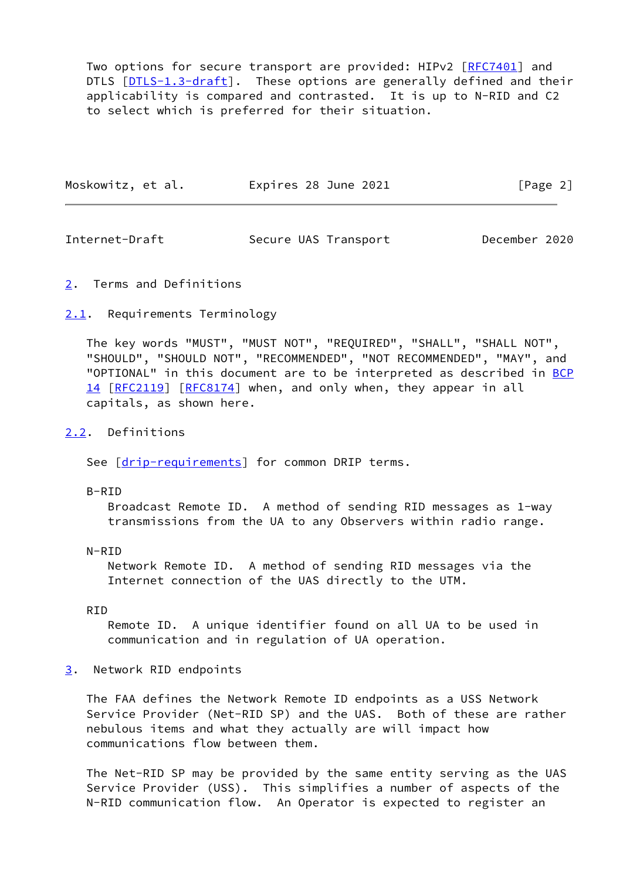Two options for secure transport are provided: HIPv2 [\[RFC7401](https://datatracker.ietf.org/doc/pdf/rfc7401)] and DTLS [\[DTLS-1.3-draft](#page-8-2)]. These options are generally defined and their applicability is compared and contrasted. It is up to N-RID and C2 to select which is preferred for their situation.

| Moskowitz, et al. | Expires 28 June 2021 | [Page 2] |
|-------------------|----------------------|----------|
|                   |                      |          |

<span id="page-2-1"></span>Internet-Draft Secure UAS Transport December 2020

<span id="page-2-0"></span>[2](#page-2-0). Terms and Definitions

# <span id="page-2-2"></span>[2.1](#page-2-2). Requirements Terminology

 The key words "MUST", "MUST NOT", "REQUIRED", "SHALL", "SHALL NOT", "SHOULD", "SHOULD NOT", "RECOMMENDED", "NOT RECOMMENDED", "MAY", and "OPTIONAL" in this document are to be interpreted as described in [BCP](https://datatracker.ietf.org/doc/pdf/bcp14) [14](https://datatracker.ietf.org/doc/pdf/bcp14) [[RFC2119\]](https://datatracker.ietf.org/doc/pdf/rfc2119) [\[RFC8174](https://datatracker.ietf.org/doc/pdf/rfc8174)] when, and only when, they appear in all capitals, as shown here.

#### <span id="page-2-3"></span>[2.2](#page-2-3). Definitions

See [\[drip-requirements](#page-8-3)] for common DRIP terms.

#### B-RID

 Broadcast Remote ID. A method of sending RID messages as 1-way transmissions from the UA to any Observers within radio range.

### N-RID

 Network Remote ID. A method of sending RID messages via the Internet connection of the UAS directly to the UTM.

## RID

 Remote ID. A unique identifier found on all UA to be used in communication and in regulation of UA operation.

## <span id="page-2-4"></span>[3](#page-2-4). Network RID endpoints

 The FAA defines the Network Remote ID endpoints as a USS Network Service Provider (Net-RID SP) and the UAS. Both of these are rather nebulous items and what they actually are will impact how communications flow between them.

 The Net-RID SP may be provided by the same entity serving as the UAS Service Provider (USS). This simplifies a number of aspects of the N-RID communication flow. An Operator is expected to register an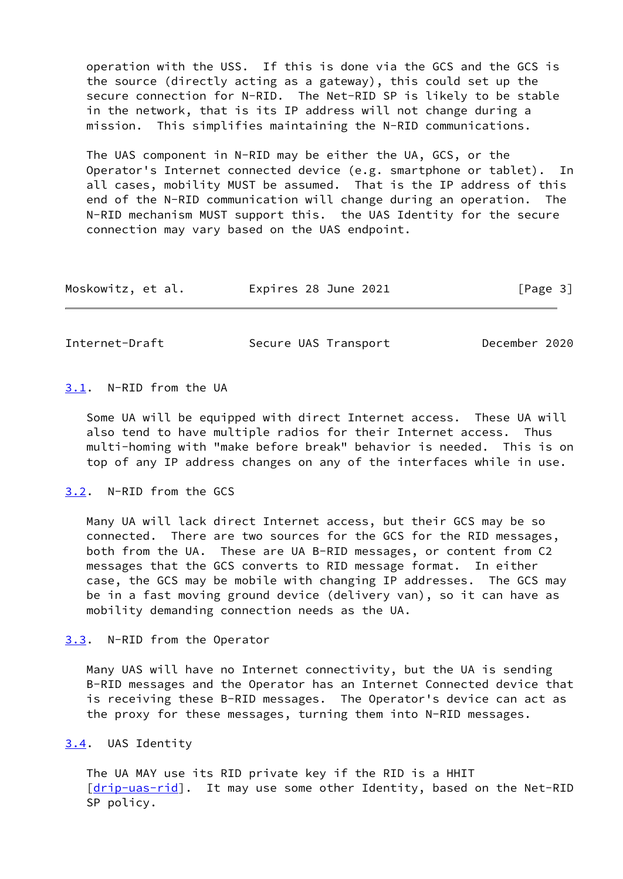operation with the USS. If this is done via the GCS and the GCS is the source (directly acting as a gateway), this could set up the secure connection for N-RID. The Net-RID SP is likely to be stable in the network, that is its IP address will not change during a mission. This simplifies maintaining the N-RID communications.

 The UAS component in N-RID may be either the UA, GCS, or the Operator's Internet connected device (e.g. smartphone or tablet). In all cases, mobility MUST be assumed. That is the IP address of this end of the N-RID communication will change during an operation. The N-RID mechanism MUST support this. the UAS Identity for the secure connection may vary based on the UAS endpoint.

| Moskowitz, et al. | Expires 28 June 2021 | [Page 3] |
|-------------------|----------------------|----------|
|-------------------|----------------------|----------|

<span id="page-3-1"></span>Internet-Draft Secure UAS Transport December 2020

# <span id="page-3-0"></span>[3.1](#page-3-0). N-RID from the UA

 Some UA will be equipped with direct Internet access. These UA will also tend to have multiple radios for their Internet access. Thus multi-homing with "make before break" behavior is needed. This is on top of any IP address changes on any of the interfaces while in use.

### <span id="page-3-2"></span>[3.2](#page-3-2). N-RID from the GCS

 Many UA will lack direct Internet access, but their GCS may be so connected. There are two sources for the GCS for the RID messages, both from the UA. These are UA B-RID messages, or content from C2 messages that the GCS converts to RID message format. In either case, the GCS may be mobile with changing IP addresses. The GCS may be in a fast moving ground device (delivery van), so it can have as mobility demanding connection needs as the UA.

## <span id="page-3-3"></span>[3.3](#page-3-3). N-RID from the Operator

 Many UAS will have no Internet connectivity, but the UA is sending B-RID messages and the Operator has an Internet Connected device that is receiving these B-RID messages. The Operator's device can act as the proxy for these messages, turning them into N-RID messages.

## <span id="page-3-4"></span>[3.4](#page-3-4). UAS Identity

 The UA MAY use its RID private key if the RID is a HHIT [\[drip-uas-rid](#page-8-4)]. It may use some other Identity, based on the Net-RID SP policy.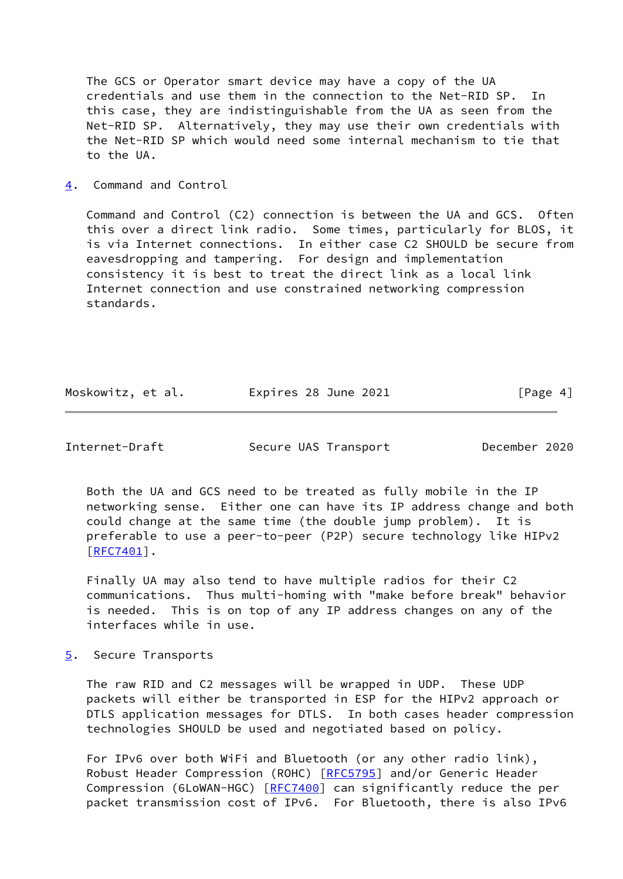The GCS or Operator smart device may have a copy of the UA credentials and use them in the connection to the Net-RID SP. In this case, they are indistinguishable from the UA as seen from the Net-RID SP. Alternatively, they may use their own credentials with the Net-RID SP which would need some internal mechanism to tie that to the UA.

<span id="page-4-0"></span>[4](#page-4-0). Command and Control

 Command and Control (C2) connection is between the UA and GCS. Often this over a direct link radio. Some times, particularly for BLOS, it is via Internet connections. In either case C2 SHOULD be secure from eavesdropping and tampering. For design and implementation consistency it is best to treat the direct link as a local link Internet connection and use constrained networking compression standards.

| Moskowitz, et al. | Expires 28 June 2021 | [Page 4] |
|-------------------|----------------------|----------|
|-------------------|----------------------|----------|

<span id="page-4-2"></span>Internet-Draft Secure UAS Transport December 2020

 Both the UA and GCS need to be treated as fully mobile in the IP networking sense. Either one can have its IP address change and both could change at the same time (the double jump problem). It is preferable to use a peer-to-peer (P2P) secure technology like HIPv2 [\[RFC7401](https://datatracker.ietf.org/doc/pdf/rfc7401)].

 Finally UA may also tend to have multiple radios for their C2 communications. Thus multi-homing with "make before break" behavior is needed. This is on top of any IP address changes on any of the interfaces while in use.

<span id="page-4-1"></span>[5](#page-4-1). Secure Transports

 The raw RID and C2 messages will be wrapped in UDP. These UDP packets will either be transported in ESP for the HIPv2 approach or DTLS application messages for DTLS. In both cases header compression technologies SHOULD be used and negotiated based on policy.

 For IPv6 over both WiFi and Bluetooth (or any other radio link), Robust Header Compression (ROHC) [\[RFC5795](https://datatracker.ietf.org/doc/pdf/rfc5795)] and/or Generic Header Compression (6LoWAN-HGC) [\[RFC7400](https://datatracker.ietf.org/doc/pdf/rfc7400)] can significantly reduce the per packet transmission cost of IPv6. For Bluetooth, there is also IPv6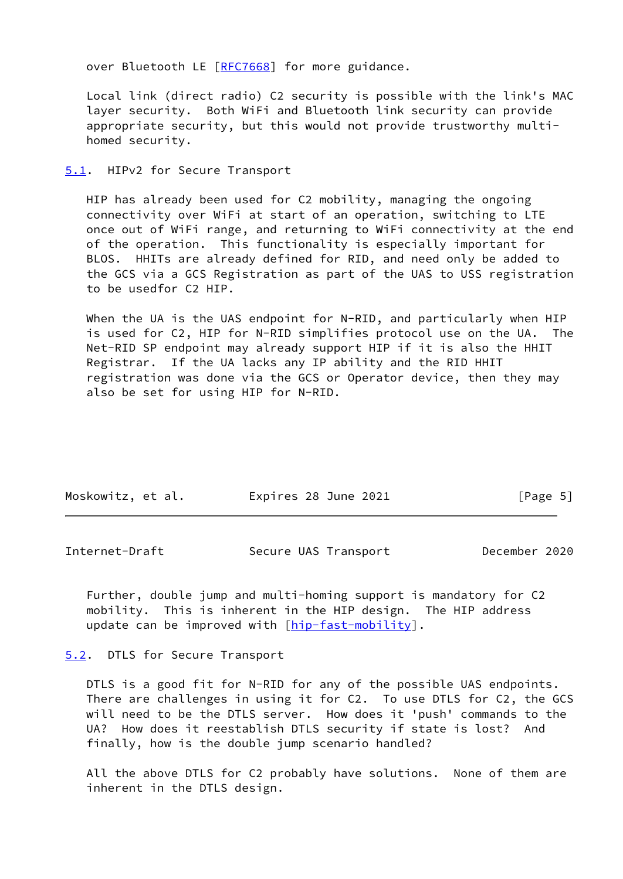over Bluetooth LE [[RFC7668](https://datatracker.ietf.org/doc/pdf/rfc7668)] for more guidance.

 Local link (direct radio) C2 security is possible with the link's MAC layer security. Both WiFi and Bluetooth link security can provide appropriate security, but this would not provide trustworthy multi homed security.

### <span id="page-5-0"></span>[5.1](#page-5-0). HIPv2 for Secure Transport

 HIP has already been used for C2 mobility, managing the ongoing connectivity over WiFi at start of an operation, switching to LTE once out of WiFi range, and returning to WiFi connectivity at the end of the operation. This functionality is especially important for BLOS. HHITs are already defined for RID, and need only be added to the GCS via a GCS Registration as part of the UAS to USS registration to be usedfor C2 HIP.

When the UA is the UAS endpoint for N-RID, and particularly when HIP is used for C2, HIP for N-RID simplifies protocol use on the UA. The Net-RID SP endpoint may already support HIP if it is also the HHIT Registrar. If the UA lacks any IP ability and the RID HHIT registration was done via the GCS or Operator device, then they may also be set for using HIP for N-RID.

| Moskowitz, et al. | Expires 28 June 2021 | [Page 5] |
|-------------------|----------------------|----------|
|                   |                      |          |

<span id="page-5-2"></span>Internet-Draft Secure UAS Transport December 2020

 Further, double jump and multi-homing support is mandatory for C2 mobility. This is inherent in the HIP design. The HIP address update can be improved with [\[hip-fast-mobility](#page-8-5)].

## <span id="page-5-1"></span>[5.2](#page-5-1). DTLS for Secure Transport

 DTLS is a good fit for N-RID for any of the possible UAS endpoints. There are challenges in using it for C2. To use DTLS for C2, the GCS will need to be the DTLS server. How does it 'push' commands to the UA? How does it reestablish DTLS security if state is lost? And finally, how is the double jump scenario handled?

 All the above DTLS for C2 probably have solutions. None of them are inherent in the DTLS design.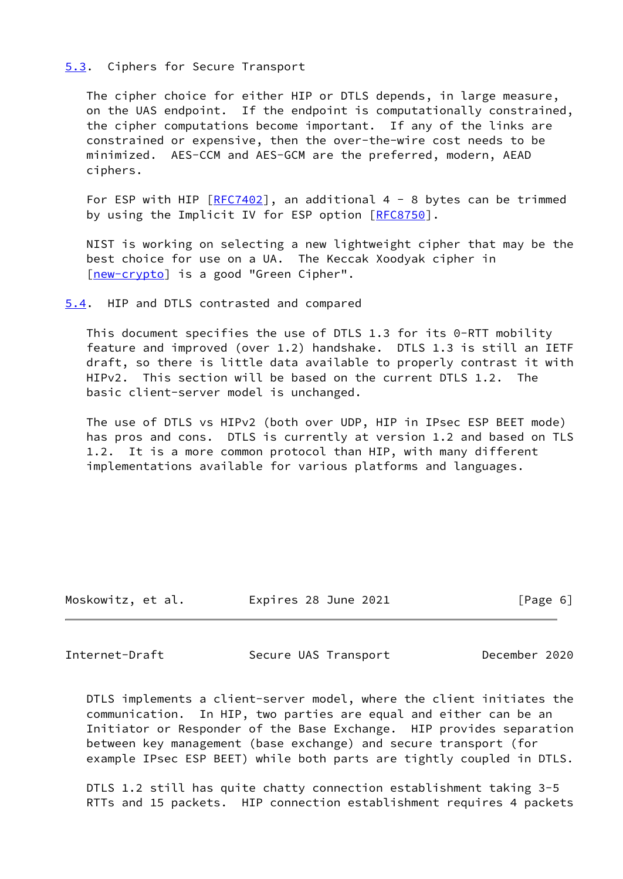## <span id="page-6-0"></span>[5.3](#page-6-0). Ciphers for Secure Transport

 The cipher choice for either HIP or DTLS depends, in large measure, on the UAS endpoint. If the endpoint is computationally constrained, the cipher computations become important. If any of the links are constrained or expensive, then the over-the-wire cost needs to be minimized. AES-CCM and AES-GCM are the preferred, modern, AEAD ciphers.

For ESP with HIP  $[REC7402]$ , an additional 4 - 8 bytes can be trimmed by using the Implicit IV for ESP option [\[RFC8750](https://datatracker.ietf.org/doc/pdf/rfc8750)].

 NIST is working on selecting a new lightweight cipher that may be the best choice for use on a UA. The Keccak Xoodyak cipher in [\[new-crypto\]](#page-8-6) is a good "Green Cipher".

<span id="page-6-1"></span>[5.4](#page-6-1). HIP and DTLS contrasted and compared

 This document specifies the use of DTLS 1.3 for its 0-RTT mobility feature and improved (over 1.2) handshake. DTLS 1.3 is still an IETF draft, so there is little data available to properly contrast it with HIPv2. This section will be based on the current DTLS 1.2. The basic client-server model is unchanged.

 The use of DTLS vs HIPv2 (both over UDP, HIP in IPsec ESP BEET mode) has pros and cons. DTLS is currently at version 1.2 and based on TLS 1.2. It is a more common protocol than HIP, with many different implementations available for various platforms and languages.

| Moskowitz, et al.<br>Expires 28 June 2021 | [Page 6] |
|-------------------------------------------|----------|

<span id="page-6-2"></span>Internet-Draft Secure UAS Transport December 2020

 DTLS implements a client-server model, where the client initiates the communication. In HIP, two parties are equal and either can be an Initiator or Responder of the Base Exchange. HIP provides separation between key management (base exchange) and secure transport (for example IPsec ESP BEET) while both parts are tightly coupled in DTLS.

 DTLS 1.2 still has quite chatty connection establishment taking 3-5 RTTs and 15 packets. HIP connection establishment requires 4 packets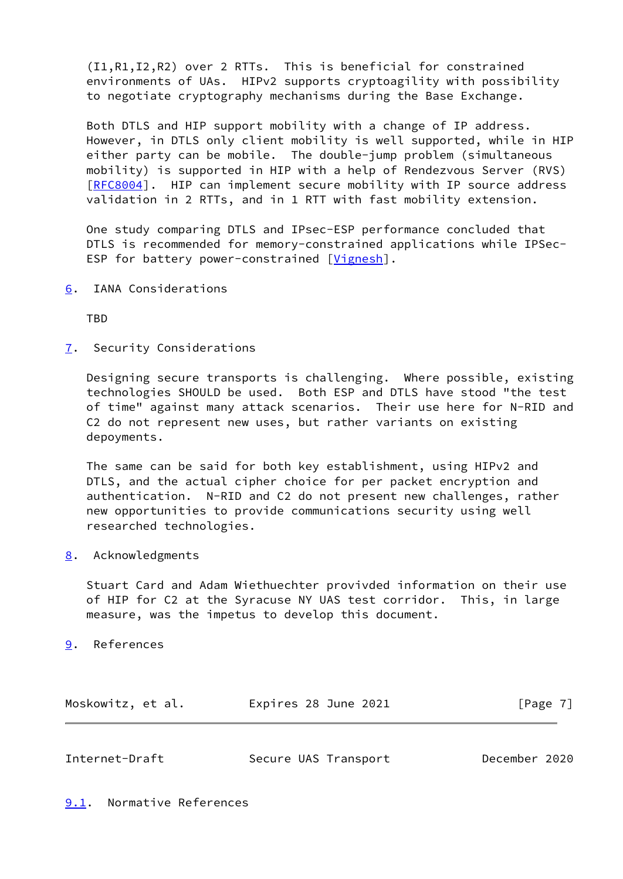(I1,R1,I2,R2) over 2 RTTs. This is beneficial for constrained environments of UAs. HIPv2 supports cryptoagility with possibility to negotiate cryptography mechanisms during the Base Exchange.

 Both DTLS and HIP support mobility with a change of IP address. However, in DTLS only client mobility is well supported, while in HIP either party can be mobile. The double-jump problem (simultaneous mobility) is supported in HIP with a help of Rendezvous Server (RVS) [\[RFC8004](https://datatracker.ietf.org/doc/pdf/rfc8004)]. HIP can implement secure mobility with IP source address validation in 2 RTTs, and in 1 RTT with fast mobility extension.

 One study comparing DTLS and IPsec-ESP performance concluded that DTLS is recommended for memory-constrained applications while IPSec- ESP for battery power-constrained [[Vignesh](#page-9-1)].

<span id="page-7-0"></span>[6](#page-7-0). IANA Considerations

**TBD** 

<span id="page-7-1"></span>[7](#page-7-1). Security Considerations

 Designing secure transports is challenging. Where possible, existing technologies SHOULD be used. Both ESP and DTLS have stood "the test of time" against many attack scenarios. Their use here for N-RID and C2 do not represent new uses, but rather variants on existing depoyments.

 The same can be said for both key establishment, using HIPv2 and DTLS, and the actual cipher choice for per packet encryption and authentication. N-RID and C2 do not present new challenges, rather new opportunities to provide communications security using well researched technologies.

<span id="page-7-2"></span>[8](#page-7-2). Acknowledgments

 Stuart Card and Adam Wiethuechter provivded information on their use of HIP for C2 at the Syracuse NY UAS test corridor. This, in large measure, was the impetus to develop this document.

<span id="page-7-3"></span>[9](#page-7-3). References

| Moskowitz, et al. | Expires 28 June 2021 | [Page 7] |
|-------------------|----------------------|----------|
|-------------------|----------------------|----------|

<span id="page-7-5"></span><span id="page-7-4"></span>

| Internet-Draft | Secure UAS Transport | December 2020 |  |
|----------------|----------------------|---------------|--|
|                |                      |               |  |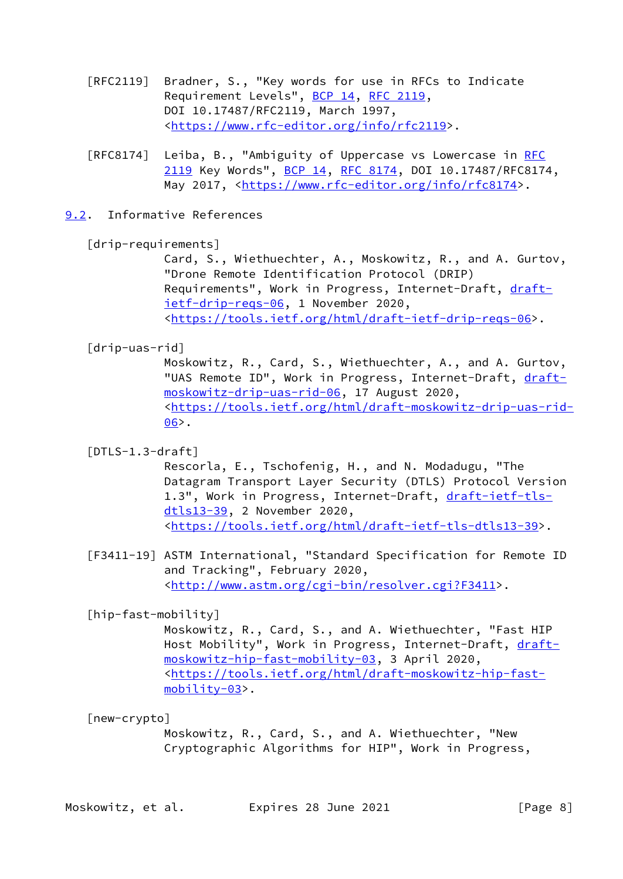- [RFC2119] Bradner, S., "Key words for use in RFCs to Indicate Requirement Levels", [BCP 14](https://datatracker.ietf.org/doc/pdf/bcp14), [RFC 2119](https://datatracker.ietf.org/doc/pdf/rfc2119), DOI 10.17487/RFC2119, March 1997, <[https://www.rfc-editor.org/info/rfc2119>](https://www.rfc-editor.org/info/rfc2119).
- [RFC8174] Leiba, B., "Ambiguity of Uppercase vs Lowercase in [RFC](https://datatracker.ietf.org/doc/pdf/rfc2119) [2119](https://datatracker.ietf.org/doc/pdf/rfc2119) Key Words", [BCP 14](https://datatracker.ietf.org/doc/pdf/bcp14), [RFC 8174,](https://datatracker.ietf.org/doc/pdf/rfc8174) DOI 10.17487/RFC8174, May 2017, [<https://www.rfc-editor.org/info/rfc8174](https://www.rfc-editor.org/info/rfc8174)>.
- <span id="page-8-0"></span>[9.2](#page-8-0). Informative References

<span id="page-8-3"></span>[drip-requirements]

 Card, S., Wiethuechter, A., Moskowitz, R., and A. Gurtov, "Drone Remote Identification Protocol (DRIP) Requirements", Work in Progress, Internet-Draft, [draft](https://datatracker.ietf.org/doc/pdf/draft-ietf-drip-reqs-06) [ietf-drip-reqs-06,](https://datatracker.ietf.org/doc/pdf/draft-ietf-drip-reqs-06) 1 November 2020, <[https://tools.ietf.org/html/draft-ietf-drip-reqs-06>](https://tools.ietf.org/html/draft-ietf-drip-reqs-06).

<span id="page-8-4"></span>[drip-uas-rid]

 Moskowitz, R., Card, S., Wiethuechter, A., and A. Gurtov, "UAS Remote ID", Work in Progress, Internet-Draft, [draft](https://datatracker.ietf.org/doc/pdf/draft-moskowitz-drip-uas-rid-06) [moskowitz-drip-uas-rid-06,](https://datatracker.ietf.org/doc/pdf/draft-moskowitz-drip-uas-rid-06) 17 August 2020, <[https://tools.ietf.org/html/draft-moskowitz-drip-uas-rid-](https://tools.ietf.org/html/draft-moskowitz-drip-uas-rid-06)  $06$ .

<span id="page-8-2"></span>[DTLS-1.3-draft]

 Rescorla, E., Tschofenig, H., and N. Modadugu, "The Datagram Transport Layer Security (DTLS) Protocol Version 1.3", Work in Progress, Internet-Draft, [draft-ietf-tls](https://datatracker.ietf.org/doc/pdf/draft-ietf-tls-dtls13-39) [dtls13-39,](https://datatracker.ietf.org/doc/pdf/draft-ietf-tls-dtls13-39) 2 November 2020, <[https://tools.ietf.org/html/draft-ietf-tls-dtls13-39>](https://tools.ietf.org/html/draft-ietf-tls-dtls13-39).

<span id="page-8-1"></span> [F3411-19] ASTM International, "Standard Specification for Remote ID and Tracking", February 2020, <<http://www.astm.org/cgi-bin/resolver.cgi?F3411>>.

# <span id="page-8-5"></span>[hip-fast-mobility]

 Moskowitz, R., Card, S., and A. Wiethuechter, "Fast HIP Host Mobility", Work in Progress, Internet-Draft, [draft](https://datatracker.ietf.org/doc/pdf/draft-moskowitz-hip-fast-mobility-03) [moskowitz-hip-fast-mobility-03](https://datatracker.ietf.org/doc/pdf/draft-moskowitz-hip-fast-mobility-03), 3 April 2020, <[https://tools.ietf.org/html/draft-moskowitz-hip-fast](https://tools.ietf.org/html/draft-moskowitz-hip-fast-mobility-03) [mobility-03](https://tools.ietf.org/html/draft-moskowitz-hip-fast-mobility-03)>.

<span id="page-8-6"></span>[new-crypto]

 Moskowitz, R., Card, S., and A. Wiethuechter, "New Cryptographic Algorithms for HIP", Work in Progress,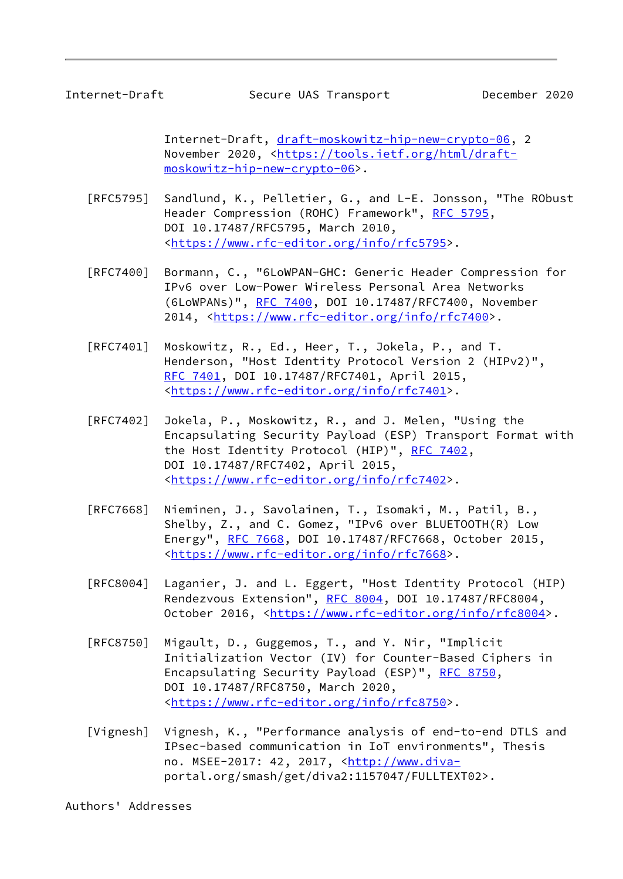<span id="page-9-0"></span> Internet-Draft, [draft-moskowitz-hip-new-crypto-06,](https://datatracker.ietf.org/doc/pdf/draft-moskowitz-hip-new-crypto-06) 2 November 2020, <[https://tools.ietf.org/html/draft](https://tools.ietf.org/html/draft-moskowitz-hip-new-crypto-06) [moskowitz-hip-new-crypto-06](https://tools.ietf.org/html/draft-moskowitz-hip-new-crypto-06)>.

- [RFC5795] Sandlund, K., Pelletier, G., and L-E. Jonsson, "The RObust Header Compression (ROHC) Framework", [RFC 5795](https://datatracker.ietf.org/doc/pdf/rfc5795), DOI 10.17487/RFC5795, March 2010, <[https://www.rfc-editor.org/info/rfc5795>](https://www.rfc-editor.org/info/rfc5795).
- [RFC7400] Bormann, C., "6LoWPAN-GHC: Generic Header Compression for IPv6 over Low-Power Wireless Personal Area Networks (6LoWPANs)", [RFC 7400](https://datatracker.ietf.org/doc/pdf/rfc7400), DOI 10.17487/RFC7400, November 2014, [<https://www.rfc-editor.org/info/rfc7400](https://www.rfc-editor.org/info/rfc7400)>.
- [RFC7401] Moskowitz, R., Ed., Heer, T., Jokela, P., and T. Henderson, "Host Identity Protocol Version 2 (HIPv2)", [RFC 7401,](https://datatracker.ietf.org/doc/pdf/rfc7401) DOI 10.17487/RFC7401, April 2015, <[https://www.rfc-editor.org/info/rfc7401>](https://www.rfc-editor.org/info/rfc7401).
- [RFC7402] Jokela, P., Moskowitz, R., and J. Melen, "Using the Encapsulating Security Payload (ESP) Transport Format with the Host Identity Protocol (HIP)", [RFC 7402](https://datatracker.ietf.org/doc/pdf/rfc7402), DOI 10.17487/RFC7402, April 2015, <[https://www.rfc-editor.org/info/rfc7402>](https://www.rfc-editor.org/info/rfc7402).
- [RFC7668] Nieminen, J., Savolainen, T., Isomaki, M., Patil, B., Shelby, Z., and C. Gomez, "IPv6 over BLUETOOTH(R) Low Energy", [RFC 7668,](https://datatracker.ietf.org/doc/pdf/rfc7668) DOI 10.17487/RFC7668, October 2015, <[https://www.rfc-editor.org/info/rfc7668>](https://www.rfc-editor.org/info/rfc7668).
- [RFC8004] Laganier, J. and L. Eggert, "Host Identity Protocol (HIP) Rendezvous Extension", [RFC 8004](https://datatracker.ietf.org/doc/pdf/rfc8004), DOI 10.17487/RFC8004, October 2016, [<https://www.rfc-editor.org/info/rfc8004](https://www.rfc-editor.org/info/rfc8004)>.
- [RFC8750] Migault, D., Guggemos, T., and Y. Nir, "Implicit Initialization Vector (IV) for Counter-Based Ciphers in Encapsulating Security Payload (ESP)", [RFC 8750](https://datatracker.ietf.org/doc/pdf/rfc8750), DOI 10.17487/RFC8750, March 2020, <[https://www.rfc-editor.org/info/rfc8750>](https://www.rfc-editor.org/info/rfc8750).
- <span id="page-9-1"></span>[Vignesh] Vignesh, K., "Performance analysis of end-to-end DTLS and IPsec-based communication in IoT environments", Thesis no. MSEE-2017: 42, 2017, [<http://www.diva](http://www.diva-) portal.org/smash/get/diva2:1157047/FULLTEXT02>.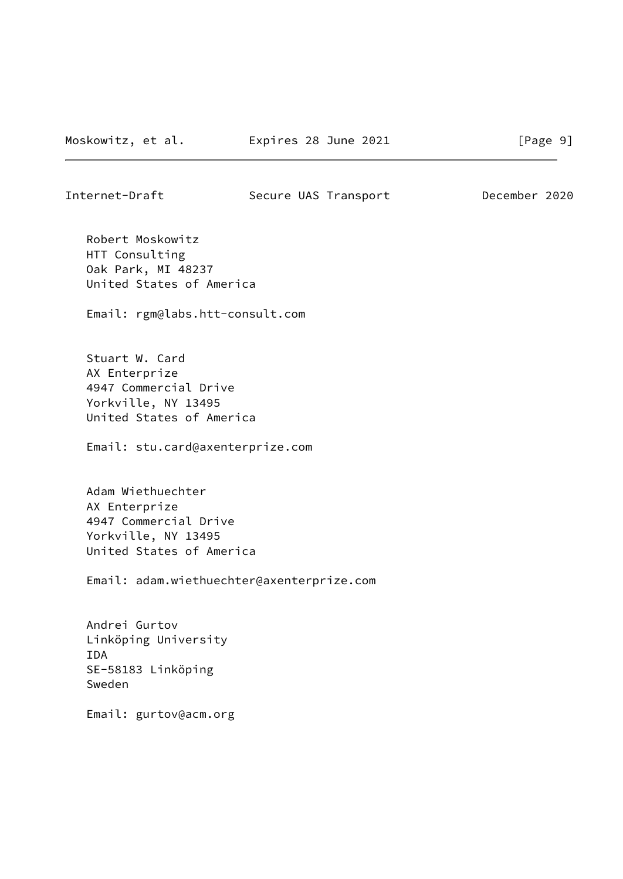Internet-Draft Secure UAS Transport December 2020

 Robert Moskowitz HTT Consulting Oak Park, MI 48237 United States of America

Email: rgm@labs.htt-consult.com

 Stuart W. Card AX Enterprize 4947 Commercial Drive Yorkville, NY 13495 United States of America

Email: stu.card@axenterprize.com

 Adam Wiethuechter AX Enterprize 4947 Commercial Drive Yorkville, NY 13495 United States of America

Email: adam.wiethuechter@axenterprize.com

 Andrei Gurtov Linköping University IDA SE-58183 Linköping Sweden

Email: gurtov@acm.org